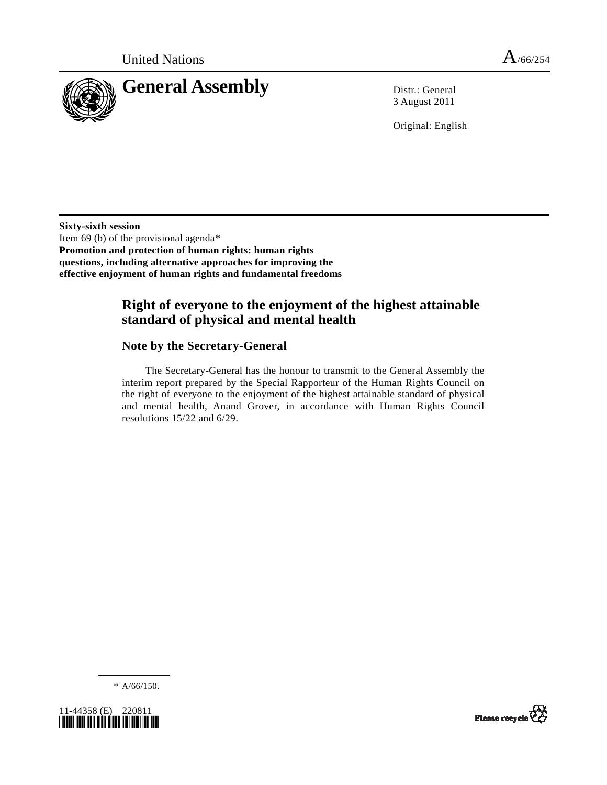

3 August 2011

Original: English

**Sixty-sixth session**  Item 69 (b) of the provisional agenda[\\*](#page-0-0)  **Promotion and protection of human rights: human rights questions, including alternative approaches for improving the effective enjoyment of human rights and fundamental freedoms** 

# **Right of everyone to the enjoyment of the highest attainable standard of physical and mental health**

### **Note by the Secretary-General**

 The Secretary-General has the honour to transmit to the General Assembly the interim report prepared by the Special Rapporteur of the Human Rights Council on the right of everyone to the enjoyment of the highest attainable standard of physical and mental health, Anand Grover, in accordance with Human Rights Council resolutions 15/22 and 6/29.

**\_\_\_\_\_\_\_\_\_\_\_\_\_\_\_\_\_\_**   $* A/66/150.$ 

<span id="page-0-0"></span>

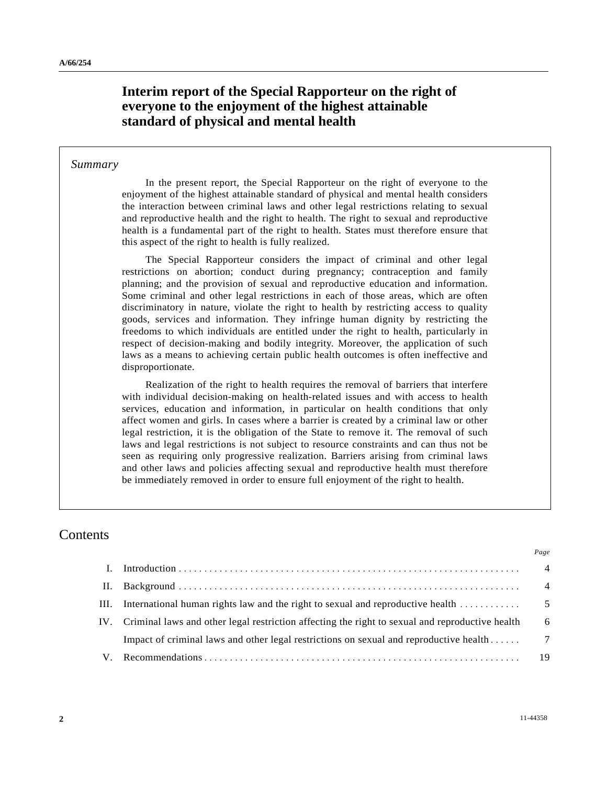# **Interim report of the Special Rapporteur on the right of everyone to the enjoyment of the highest attainable standard of physical and mental health**

#### *Summary*

 In the present report, the Special Rapporteur on the right of everyone to the enjoyment of the highest attainable standard of physical and mental health considers the interaction between criminal laws and other legal restrictions relating to sexual and reproductive health and the right to health. The right to sexual and reproductive health is a fundamental part of the right to health. States must therefore ensure that this aspect of the right to health is fully realized.

 The Special Rapporteur considers the impact of criminal and other legal restrictions on abortion; conduct during pregnancy; contraception and family planning; and the provision of sexual and reproductive education and information. Some criminal and other legal restrictions in each of those areas, which are often discriminatory in nature, violate the right to health by restricting access to quality goods, services and information. They infringe human dignity by restricting the freedoms to which individuals are entitled under the right to health, particularly in respect of decision-making and bodily integrity. Moreover, the application of such laws as a means to achieving certain public health outcomes is often ineffective and disproportionate.

 Realization of the right to health requires the removal of barriers that interfere with individual decision-making on health-related issues and with access to health services, education and information, in particular on health conditions that only affect women and girls. In cases where a barrier is created by a criminal law or other legal restriction, it is the obligation of the State to remove it. The removal of such laws and legal restrictions is not subject to resource constraints and can thus not be seen as requiring only progressive realization. Barriers arising from criminal laws and other laws and policies affecting sexual and reproductive health must therefore be immediately removed in order to ensure full enjoyment of the right to health.

### Contents

|     |                                                                                                     | $\overline{4}$ |
|-----|-----------------------------------------------------------------------------------------------------|----------------|
| Н.  |                                                                                                     | $\overline{4}$ |
| HI. | International human rights law and the right to sexual and reproductive health                      | - 5            |
|     | IV. Criminal laws and other legal restriction affecting the right to sexual and reproductive health | 6              |
|     | Impact of criminal laws and other legal restrictions on sexual and reproductive health              | $\overline{7}$ |
|     |                                                                                                     | 19             |
|     |                                                                                                     |                |

*Page*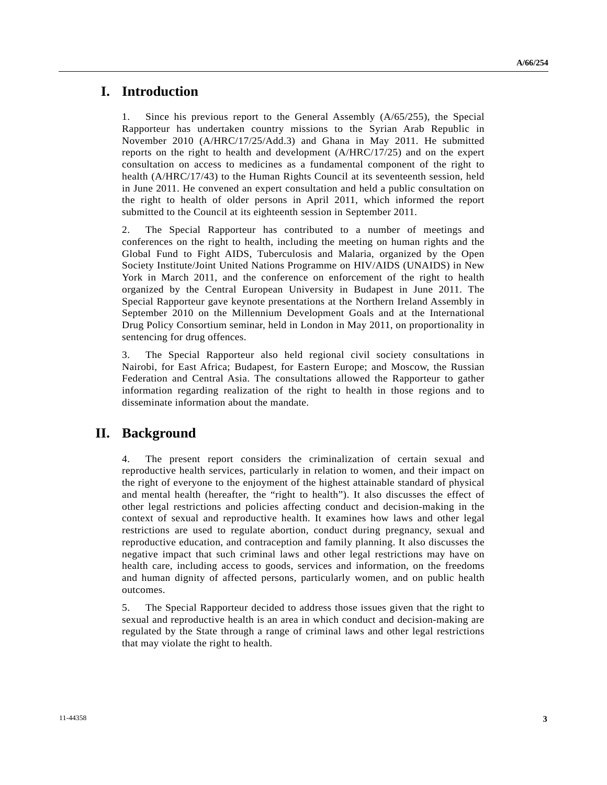### **I. Introduction**

1. Since his previous report to the General Assembly (A/65/255), the Special Rapporteur has undertaken country missions to the Syrian Arab Republic in November 2010 (A/HRC/17/25/Add.3) and Ghana in May 2011. He submitted reports on the right to health and development (A/HRC/17/25) and on the expert consultation on access to medicines as a fundamental component of the right to health (A/HRC/17/43) to the Human Rights Council at its seventeenth session, held in June 2011. He convened an expert consultation and held a public consultation on the right to health of older persons in April 2011, which informed the report submitted to the Council at its eighteenth session in September 2011.

2. The Special Rapporteur has contributed to a number of meetings and conferences on the right to health, including the meeting on human rights and the Global Fund to Fight AIDS, Tuberculosis and Malaria, organized by the Open Society Institute/Joint United Nations Programme on HIV/AIDS (UNAIDS) in New York in March 2011, and the conference on enforcement of the right to health organized by the Central European University in Budapest in June 2011. The Special Rapporteur gave keynote presentations at the Northern Ireland Assembly in September 2010 on the Millennium Development Goals and at the International Drug Policy Consortium seminar, held in London in May 2011, on proportionality in sentencing for drug offences.

3. The Special Rapporteur also held regional civil society consultations in Nairobi, for East Africa; Budapest, for Eastern Europe; and Moscow, the Russian Federation and Central Asia. The consultations allowed the Rapporteur to gather information regarding realization of the right to health in those regions and to disseminate information about the mandate.

# **II. Background**

4. The present report considers the criminalization of certain sexual and reproductive health services, particularly in relation to women, and their impact on the right of everyone to the enjoyment of the highest attainable standard of physical and mental health (hereafter, the "right to health"). It also discusses the effect of other legal restrictions and policies affecting conduct and decision-making in the context of sexual and reproductive health. It examines how laws and other legal restrictions are used to regulate abortion, conduct during pregnancy, sexual and reproductive education, and contraception and family planning. It also discusses the negative impact that such criminal laws and other legal restrictions may have on health care, including access to goods, services and information, on the freedoms and human dignity of affected persons, particularly women, and on public health outcomes.

5. The Special Rapporteur decided to address those issues given that the right to sexual and reproductive health is an area in which conduct and decision-making are regulated by the State through a range of criminal laws and other legal restrictions that may violate the right to health.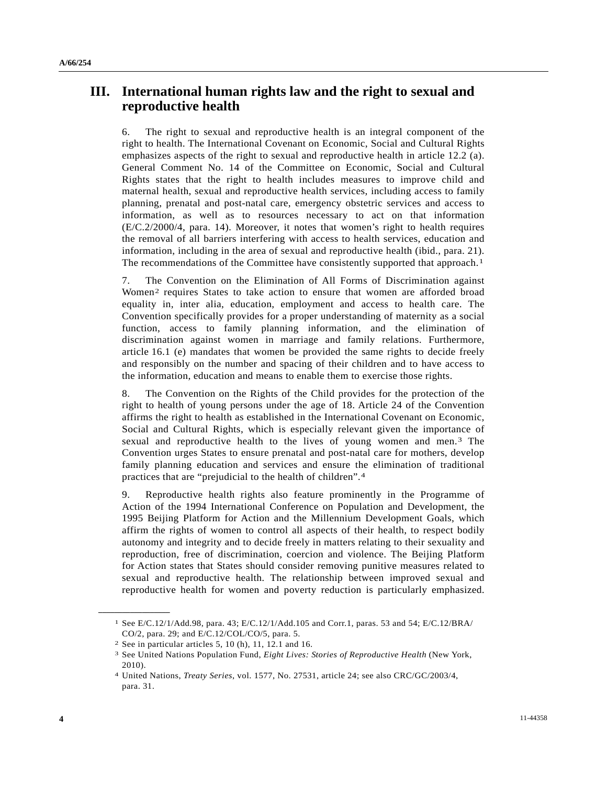# **III. International human rights law and the right to sexual and reproductive health**

6. The right to sexual and reproductive health is an integral component of the right to health. The International Covenant on Economic, Social and Cultural Rights emphasizes aspects of the right to sexual and reproductive health in article 12.2 (a). General Comment No. 14 of the Committee on Economic, Social and Cultural Rights states that the right to health includes measures to improve child and maternal health, sexual and reproductive health services, including access to family planning, prenatal and post-natal care, emergency obstetric services and access to information, as well as to resources necessary to act on that information (E/C.2/2000/4, para. 14). Moreover, it notes that women's right to health requires the removal of all barriers interfering with access to health services, education and information, including in the area of sexual and reproductive health (ibid., para. 21). The recommendations of the Committee have consistently supported that approach.<sup>1</sup>

7. The Convention on the Elimination of All Forms of Discrimination against Women[2](#page-3-1) requires States to take action to ensure that women are afforded broad equality in, inter alia, education, employment and access to health care. The Convention specifically provides for a proper understanding of maternity as a social function, access to family planning information, and the elimination of discrimination against women in marriage and family relations. Furthermore, article 16.1 (e) mandates that women be provided the same rights to decide freely and responsibly on the number and spacing of their children and to have access to the information, education and means to enable them to exercise those rights.

8. The Convention on the Rights of the Child provides for the protection of the right to health of young persons under the age of 18. Article 24 of the Convention affirms the right to health as established in the International Covenant on Economic, Social and Cultural Rights, which is especially relevant given the importance of sexual and reproductive health to the lives of young women and men.[3](#page-3-2) The Convention urges States to ensure prenatal and post-natal care for mothers, develop family planning education and services and ensure the elimination of traditional practices that are "prejudicial to the health of children".[4](#page-3-3)

9. Reproductive health rights also feature prominently in the Programme of Action of the 1994 International Conference on Population and Development, the 1995 Beijing Platform for Action and the Millennium Development Goals, which affirm the rights of women to control all aspects of their health, to respect bodily autonomy and integrity and to decide freely in matters relating to their sexuality and reproduction, free of discrimination, coercion and violence. The Beijing Platform for Action states that States should consider removing punitive measures related to sexual and reproductive health. The relationship between improved sexual and reproductive health for women and poverty reduction is particularly emphasized.

<span id="page-3-0"></span><sup>1</sup> See E/C.12/1/Add.98, para. 43; E/C.12/1/Add.105 and Corr.1, paras. 53 and 54; E/C.12/BRA/ CO/2, para. 29; and E/C.12/COL/CO/5, para. 5.

<sup>2</sup> See in particular articles 5, 10 (h), 11, 12.1 and 16.

<span id="page-3-2"></span><span id="page-3-1"></span><sup>3</sup> See United Nations Population Fund, *Eight Lives: Stories of Reproductive Health* (New York, 2010).

<span id="page-3-3"></span><sup>4</sup> United Nations, *Treaty Series*, vol. 1577, No. 27531, article 24; see also CRC/GC/2003/4, para. 31.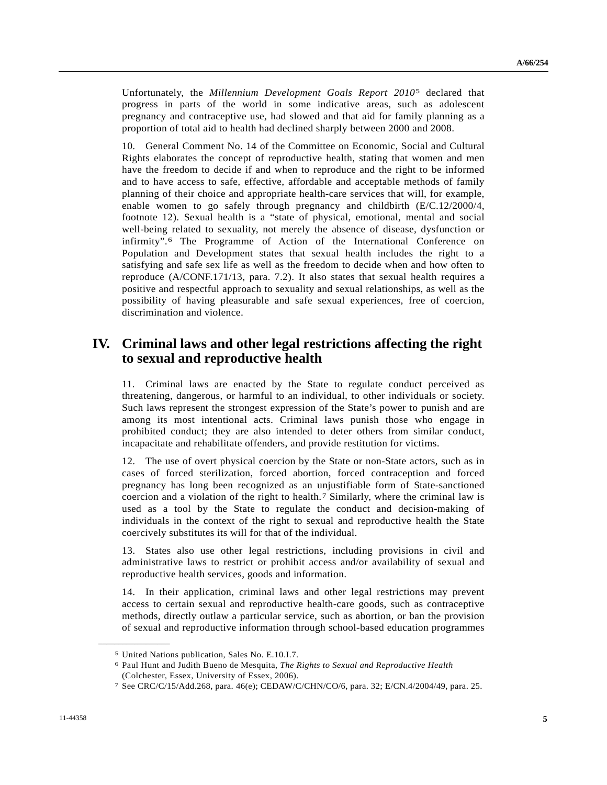<span id="page-4-3"></span>Unfortunately, the *Millennium Development Goals Report 2010*[5](#page-4-0) declared that progress in parts of the world in some indicative areas, such as adolescent pregnancy and contraceptive use, had slowed and that aid for family planning as a proportion of total aid to health had declined sharply between 2000 and 2008.

10. General Comment No. 14 of the Committee on Economic, Social and Cultural Rights elaborates the concept of reproductive health, stating that women and men have the freedom to decide if and when to reproduce and the right to be informed and to have access to safe, effective, affordable and acceptable methods of family planning of their choice and appropriate health-care services that will, for example, enable women to go safely through pregnancy and childbirth (E/C.12/2000/4, footnote 12). Sexual health is a "state of physical, emotional, mental and social well-being related to sexuality, not merely the absence of disease, dysfunction or infirmity".[6](#page-4-1) The Programme of Action of the International Conference on Population and Development states that sexual health includes the right to a satisfying and safe sex life as well as the freedom to decide when and how often to reproduce (A/CONF.171/13, para. 7.2). It also states that sexual health requires a positive and respectful approach to sexuality and sexual relationships, as well as the possibility of having pleasurable and safe sexual experiences, free of coercion, discrimination and violence.

## **IV. Criminal laws and other legal restrictions affecting the right to sexual and reproductive health**

11. Criminal laws are enacted by the State to regulate conduct perceived as threatening, dangerous, or harmful to an individual, to other individuals or society. Such laws represent the strongest expression of the State's power to punish and are among its most intentional acts. Criminal laws punish those who engage in prohibited conduct; they are also intended to deter others from similar conduct, incapacitate and rehabilitate offenders, and provide restitution for victims.

12. The use of overt physical coercion by the State or non-State actors, such as in cases of forced sterilization, forced abortion, forced contraception and forced pregnancy has long been recognized as an unjustifiable form of State-sanctioned coercion and a violation of the right to health.[7](#page-4-2) Similarly, where the criminal law is used as a tool by the State to regulate the conduct and decision-making of individuals in the context of the right to sexual and reproductive health the State coercively substitutes its will for that of the individual.

13. States also use other legal restrictions, including provisions in civil and administrative laws to restrict or prohibit access and/or availability of sexual and reproductive health services, goods and information.

14. In their application, criminal laws and other legal restrictions may prevent access to certain sexual and reproductive health-care goods, such as contraceptive methods, directly outlaw a particular service, such as abortion, or ban the provision of sexual and reproductive information through school-based education programmes

<span id="page-4-1"></span><span id="page-4-0"></span><sup>5</sup> United Nations publication, Sales No. E.10.I.7.

<sup>6</sup> Paul Hunt and Judith Bueno de Mesquita, *The Rights to Sexual and Reproductive Health* (Colchester, Essex, University of Essex, 2006).

<span id="page-4-2"></span><sup>7</sup> See CRC/C/15/Add.268, para. 46(e); CEDAW/C/CHN/CO/6, para. 32; E/CN.4/2004/49, para. 25.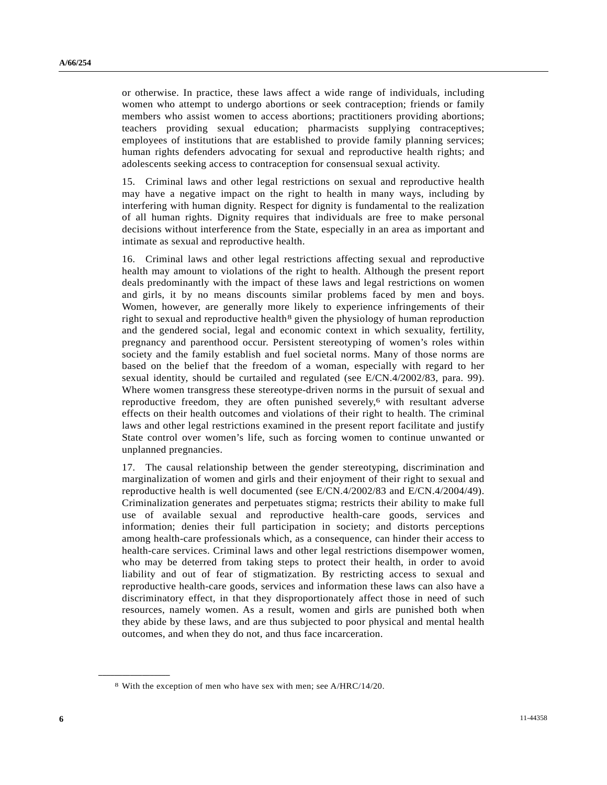or otherwise. In practice, these laws affect a wide range of individuals, including women who attempt to undergo abortions or seek contraception; friends or family members who assist women to access abortions; practitioners providing abortions; teachers providing sexual education; pharmacists supplying contraceptives; employees of institutions that are established to provide family planning services; human rights defenders advocating for sexual and reproductive health rights; and adolescents seeking access to contraception for consensual sexual activity.

15. Criminal laws and other legal restrictions on sexual and reproductive health may have a negative impact on the right to health in many ways, including by interfering with human dignity. Respect for dignity is fundamental to the realization of all human rights. Dignity requires that individuals are free to make personal decisions without interference from the State, especially in an area as important and intimate as sexual and reproductive health.

16. Criminal laws and other legal restrictions affecting sexual and reproductive health may amount to violations of the right to health. Although the present report deals predominantly with the impact of these laws and legal restrictions on women and girls, it by no means discounts similar problems faced by men and boys. Women, however, are generally more likely to experience infringements of their right to sexual and reproductive health<sup>[8](#page-5-0)</sup> given the physiology of human reproduction and the gendered social, legal and economic context in which sexuality, fertility, pregnancy and parenthood occur. Persistent stereotyping of women's roles within society and the family establish and fuel societal norms. Many of those norms are based on the belief that the freedom of a woman, especially with regard to her sexual identity, should be curtailed and regulated (see E/CN.4/2002/83, para. 99). Where women transgress these stereotype-driven norms in the pursuit of sexual and reproductive freedom, they are often punished severely[,6](#page-4-3) with resultant adverse effects on their health outcomes and violations of their right to health. The criminal laws and other legal restrictions examined in the present report facilitate and justify State control over women's life, such as forcing women to continue unwanted or unplanned pregnancies.

17. The causal relationship between the gender stereotyping, discrimination and marginalization of women and girls and their enjoyment of their right to sexual and reproductive health is well documented (see E/CN.4/2002/83 and E/CN.4/2004/49). Criminalization generates and perpetuates stigma; restricts their ability to make full use of available sexual and reproductive health-care goods, services and information; denies their full participation in society; and distorts perceptions among health-care professionals which, as a consequence, can hinder their access to health-care services. Criminal laws and other legal restrictions disempower women, who may be deterred from taking steps to protect their health, in order to avoid liability and out of fear of stigmatization. By restricting access to sexual and reproductive health-care goods, services and information these laws can also have a discriminatory effect, in that they disproportionately affect those in need of such resources, namely women. As a result, women and girls are punished both when they abide by these laws, and are thus subjected to poor physical and mental health outcomes, and when they do not, and thus face incarceration.

<span id="page-5-0"></span><sup>8</sup> With the exception of men who have sex with men; see A/HRC/14/20.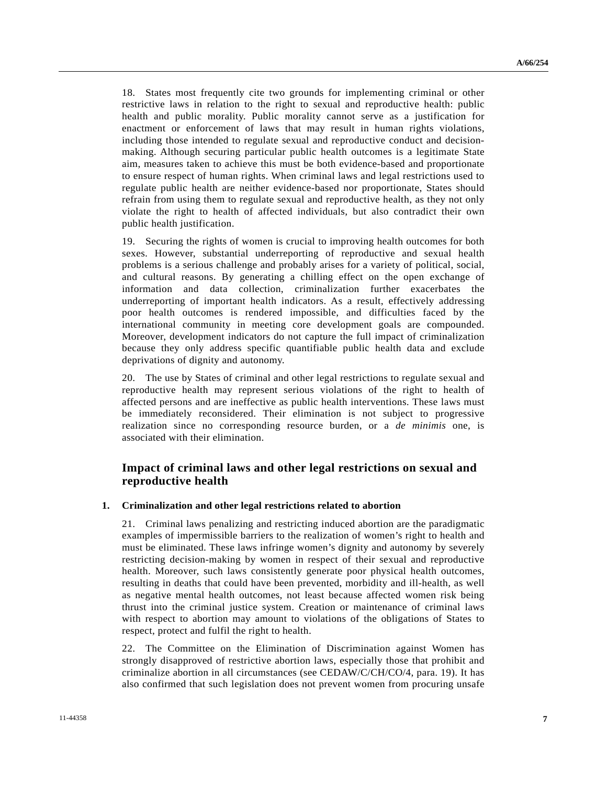18. States most frequently cite two grounds for implementing criminal or other restrictive laws in relation to the right to sexual and reproductive health: public health and public morality. Public morality cannot serve as a justification for enactment or enforcement of laws that may result in human rights violations, including those intended to regulate sexual and reproductive conduct and decisionmaking. Although securing particular public health outcomes is a legitimate State aim, measures taken to achieve this must be both evidence-based and proportionate to ensure respect of human rights. When criminal laws and legal restrictions used to regulate public health are neither evidence-based nor proportionate, States should refrain from using them to regulate sexual and reproductive health, as they not only violate the right to health of affected individuals, but also contradict their own public health justification.

19. Securing the rights of women is crucial to improving health outcomes for both sexes. However, substantial underreporting of reproductive and sexual health problems is a serious challenge and probably arises for a variety of political, social, and cultural reasons. By generating a chilling effect on the open exchange of information and data collection, criminalization further exacerbates the underreporting of important health indicators. As a result, effectively addressing poor health outcomes is rendered impossible, and difficulties faced by the international community in meeting core development goals are compounded. Moreover, development indicators do not capture the full impact of criminalization because they only address specific quantifiable public health data and exclude deprivations of dignity and autonomy.

20. The use by States of criminal and other legal restrictions to regulate sexual and reproductive health may represent serious violations of the right to health of affected persons and are ineffective as public health interventions. These laws must be immediately reconsidered. Their elimination is not subject to progressive realization since no corresponding resource burden, or a *de minimis* one, is associated with their elimination.

### **Impact of criminal laws and other legal restrictions on sexual and reproductive health**

#### **1. Criminalization and other legal restrictions related to abortion**

21. Criminal laws penalizing and restricting induced abortion are the paradigmatic examples of impermissible barriers to the realization of women's right to health and must be eliminated. These laws infringe women's dignity and autonomy by severely restricting decision-making by women in respect of their sexual and reproductive health. Moreover, such laws consistently generate poor physical health outcomes, resulting in deaths that could have been prevented, morbidity and ill-health, as well as negative mental health outcomes, not least because affected women risk being thrust into the criminal justice system. Creation or maintenance of criminal laws with respect to abortion may amount to violations of the obligations of States to respect, protect and fulfil the right to health.

22. The Committee on the Elimination of Discrimination against Women has strongly disapproved of restrictive abortion laws, especially those that prohibit and criminalize abortion in all circumstances (see CEDAW/C/CH/CO/4, para. 19). It has also confirmed that such legislation does not prevent women from procuring unsafe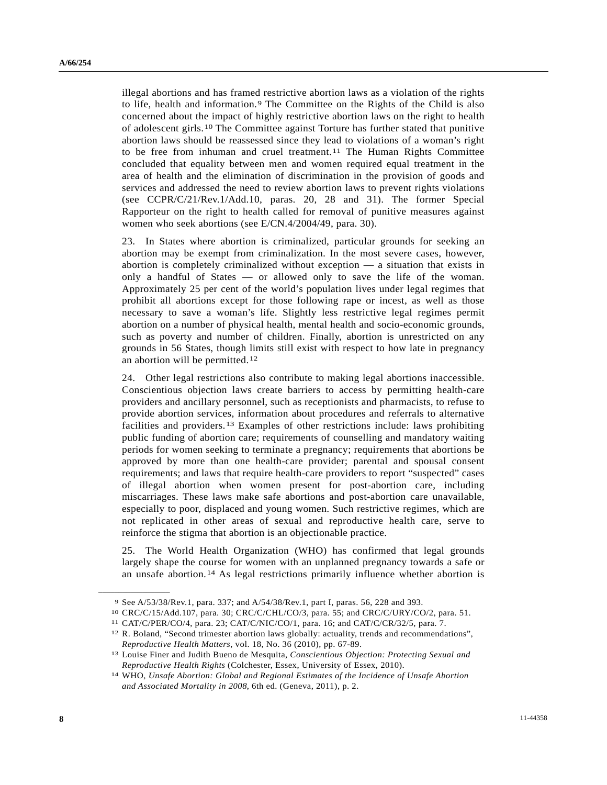<span id="page-7-6"></span>illegal abortions and has framed restrictive abortion laws as a violation of the rights to life, health and information.[9](#page-7-0) The Committee on the Rights of the Child is also concerned about the impact of highly restrictive abortion laws on the right to health of adolescent girls.[1](#page-7-1)0 The Committee against Torture has further stated that punitive abortion laws should be reassessed since they lead to violations of a woman's right to be free from inhuman and cruel treatment.<sup>[11](#page-7-2)</sup> The Human Rights Committee concluded that equality between men and women required equal treatment in the area of health and the elimination of discrimination in the provision of goods and services and addressed the need to review abortion laws to prevent rights violations (see CCPR/C/21/Rev.1/Add.10, paras. 20, 28 and 31). The former Special Rapporteur on the right to health called for removal of punitive measures against women who seek abortions (see E/CN.4/2004/49, para. 30).

23. In States where abortion is criminalized, particular grounds for seeking an abortion may be exempt from criminalization. In the most severe cases, however, abortion is completely criminalized without exception — a situation that exists in only a handful of States — or allowed only to save the life of the woman. Approximately 25 per cent of the world's population lives under legal regimes that prohibit all abortions except for those following rape or incest, as well as those necessary to save a woman's life. Slightly less restrictive legal regimes permit abortion on a number of physical health, mental health and socio-economic grounds, such as poverty and number of children. Finally, abortion is unrestricted on any grounds in 56 States, though limits still exist with respect to how late in pregnancy an abortion will be permitted.[12](#page-7-3)

24. Other legal restrictions also contribute to making legal abortions inaccessible. Conscientious objection laws create barriers to access by permitting health-care providers and ancillary personnel, such as receptionists and pharmacists, to refuse to provide abortion services, information about procedures and referrals to alternative facilities and providers.[1](#page-7-4)3 Examples of other restrictions include: laws prohibiting public funding of abortion care; requirements of counselling and mandatory waiting periods for women seeking to terminate a pregnancy; requirements that abortions be approved by more than one health-care provider; parental and spousal consent requirements; and laws that require health-care providers to report "suspected" cases of illegal abortion when women present for post-abortion care, including miscarriages. These laws make safe abortions and post-abortion care unavailable, especially to poor, displaced and young women. Such restrictive regimes, which are not replicated in other areas of sexual and reproductive health care, serve to reinforce the stigma that abortion is an objectionable practice.

25. The World Health Organization (WHO) has confirmed that legal grounds largely shape the course for women with an unplanned pregnancy towards a safe or an unsafe abortion.[14](#page-7-5) As legal restrictions primarily influence whether abortion is

<span id="page-7-1"></span>

<span id="page-7-3"></span><span id="page-7-2"></span>

<span id="page-7-0"></span><sup>9</sup> See A/53/38/Rev.1, para. 337; and A/54/38/Rev.1, part I, paras. 56, 228 and 393.<br><sup>10</sup> CRC/C/15/Add.107, para. 30; CRC/C/CHL/CO/3, para. 55; and CRC/C/URY/CO/2, para. 51.<br><sup>11</sup> CAT/C/PER/CO/4, para. 23; CAT/C/NIC/CO/1, par *Reproductive Health Matters*, vol. 18, No. 36 (2010), pp. 67-89. 13 Louise Finer and Judith Bueno de Mesquita, *Conscientious Objection: Protecting Sexual and* 

<span id="page-7-4"></span>*Reproductive Health Rights* (Colchester, Essex, University of Essex, 2010). 14 WHO, *Unsafe Abortion: Global and Regional Estimates of the Incidence of Unsafe Abortion* 

<span id="page-7-5"></span>*and Associated Mortality in 2008*, 6th ed. (Geneva, 2011), p. 2.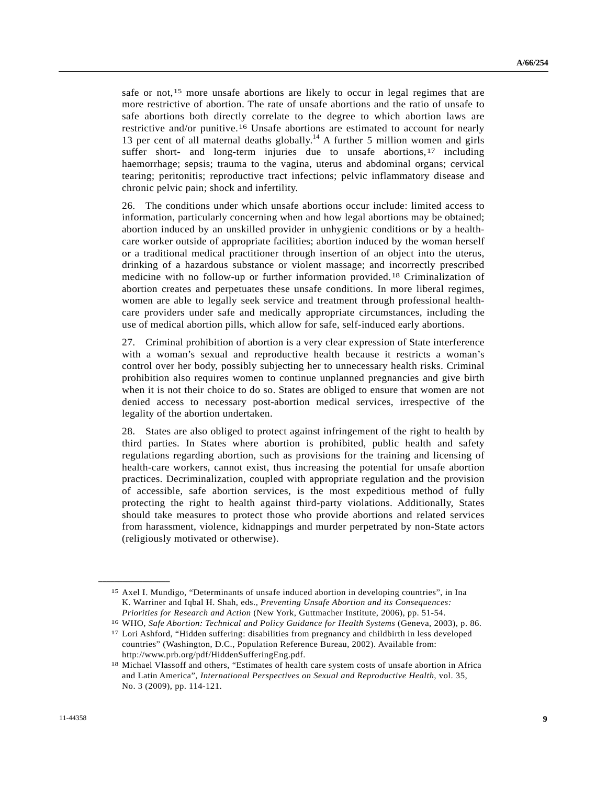safe or not,<sup>[1](#page-8-0)5</sup> more unsafe abortions are likely to occur in legal regimes that are more restrictive of abortion. The rate of unsafe abortions and the ratio of unsafe to safe abortions both directly correlate to the degree to which abortion laws are restrictive and/or punitive.[1](#page-8-1)6 Unsafe abortions are estimated to account for nearly 13 per cent of all maternal deaths globally.<sup>14</sup> A further 5 million women and girls suffer short- and long-term injuries due to unsafe abortions,<sup>[17](#page-8-2)</sup> including haemorrhage; sepsis; trauma to the vagina, uterus and abdominal organs; cervical tearing; peritonitis; reproductive tract infections; pelvic inflammatory disease and chronic pelvic pain; shock and infertility.

26. The conditions under which unsafe abortions occur include: limited access to information, particularly concerning when and how legal abortions may be obtained; abortion induced by an unskilled provider in unhygienic conditions or by a healthcare worker outside of appropriate facilities; abortion induced by the woman herself or a traditional medical practitioner through insertion of an object into the uterus, drinking of a hazardous substance or violent massage; and incorrectly prescribed medicine with no follow-up or further information provided.[1](#page-8-3)8 Criminalization of abortion creates and perpetuates these unsafe conditions. In more liberal regimes, women are able to legally seek service and treatment through professional healthcare providers under safe and medically appropriate circumstances, including the use of medical abortion pills, which allow for safe, self-induced early abortions.

27. Criminal prohibition of abortion is a very clear expression of State interference with a woman's sexual and reproductive health because it restricts a woman's control over her body, possibly subjecting her to unnecessary health risks. Criminal prohibition also requires women to continue unplanned pregnancies and give birth when it is not their choice to do so. States are obliged to ensure that women are not denied access to necessary post-abortion medical services, irrespective of the legality of the abortion undertaken.

28. States are also obliged to protect against infringement of the right to health by third parties. In States where abortion is prohibited, public health and safety regulations regarding abortion, such as provisions for the training and licensing of health-care workers, cannot exist, thus increasing the potential for unsafe abortion practices. Decriminalization, coupled with appropriate regulation and the provision of accessible, safe abortion services, is the most expeditious method of fully protecting the right to health against third-party violations. Additionally, States should take measures to protect those who provide abortions and related services from harassment, violence, kidnappings and murder perpetrated by non-State actors (religiously motivated or otherwise).

<span id="page-8-0"></span><sup>15</sup> Axel I. Mundigo, "Determinants of unsafe induced abortion in developing countries", in Ina K. Warriner and Iqbal H. Shah, eds., *Preventing Unsafe Abortion and its Consequences:* 

<span id="page-8-2"></span><span id="page-8-1"></span>*Priorities for Research and Action* (New York, Guttmacher Institute, 2006), pp. 51-54.<br><sup>16</sup> WHO, *Safe Abortion: Technical and Policy Guidance for Health Systems* (Geneva, 2003), p. 86.<br><sup>17</sup> Lori Ashford, "Hidden sufferin countries" (Washington, D.C., Population Reference Bureau, 2002). Available from: http://www.prb.org/pdf/HiddenSufferingEng.pdf.

<span id="page-8-3"></span><sup>18</sup> Michael Vlassoff and others, "Estimates of health care system costs of unsafe abortion in Africa and Latin America", *International Perspectives on Sexual and Reproductive Health*, vol. 35, No. 3 (2009), pp. 114-121.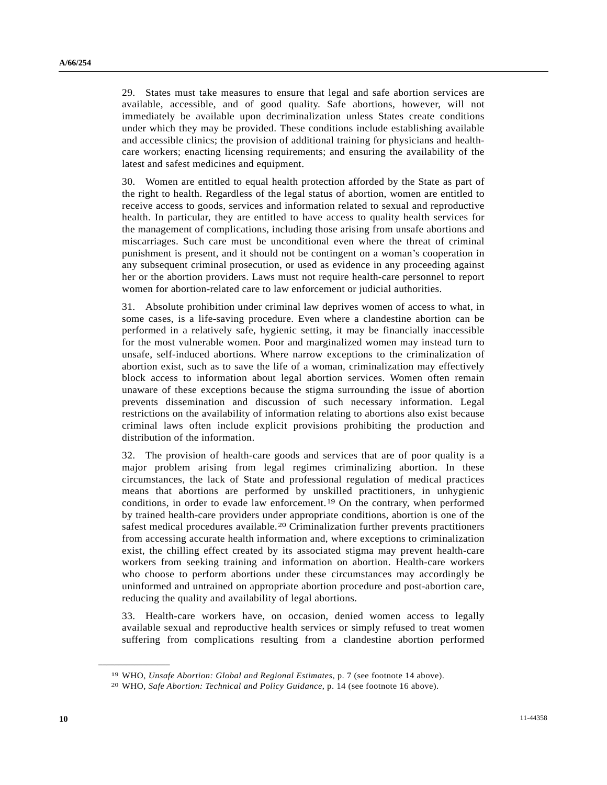29. States must take measures to ensure that legal and safe abortion services are available, accessible, and of good quality. Safe abortions, however, will not immediately be available upon decriminalization unless States create conditions under which they may be provided. These conditions include establishing available and accessible clinics; the provision of additional training for physicians and healthcare workers; enacting licensing requirements; and ensuring the availability of the latest and safest medicines and equipment.

30. Women are entitled to equal health protection afforded by the State as part of the right to health. Regardless of the legal status of abortion, women are entitled to receive access to goods, services and information related to sexual and reproductive health. In particular, they are entitled to have access to quality health services for the management of complications, including those arising from unsafe abortions and miscarriages. Such care must be unconditional even where the threat of criminal punishment is present, and it should not be contingent on a woman's cooperation in any subsequent criminal prosecution, or used as evidence in any proceeding against her or the abortion providers. Laws must not require health-care personnel to report women for abortion-related care to law enforcement or judicial authorities.

31. Absolute prohibition under criminal law deprives women of access to what, in some cases, is a life-saving procedure. Even where a clandestine abortion can be performed in a relatively safe, hygienic setting, it may be financially inaccessible for the most vulnerable women. Poor and marginalized women may instead turn to unsafe, self-induced abortions. Where narrow exceptions to the criminalization of abortion exist, such as to save the life of a woman, criminalization may effectively block access to information about legal abortion services. Women often remain unaware of these exceptions because the stigma surrounding the issue of abortion prevents dissemination and discussion of such necessary information. Legal restrictions on the availability of information relating to abortions also exist because criminal laws often include explicit provisions prohibiting the production and distribution of the information.

32. The provision of health-care goods and services that are of poor quality is a major problem arising from legal regimes criminalizing abortion. In these circumstances, the lack of State and professional regulation of medical practices means that abortions are performed by unskilled practitioners, in unhygienic conditions, in order to evade law enforcement.[1](#page-9-0)9 On the contrary, when performed by trained health-care providers under appropriate conditions, abortion is one of the safest medical procedures available.[20](#page-9-1) Criminalization further prevents practitioners from accessing accurate health information and, where exceptions to criminalization exist, the chilling effect created by its associated stigma may prevent health-care workers from seeking training and information on abortion. Health-care workers who choose to perform abortions under these circumstances may accordingly be uninformed and untrained on appropriate abortion procedure and post-abortion care, reducing the quality and availability of legal abortions.

33. Health-care workers have, on occasion, denied women access to legally available sexual and reproductive health services or simply refused to treat women suffering from complications resulting from a clandestine abortion performed

<span id="page-9-1"></span><span id="page-9-0"></span><sup>19</sup> WHO, *Unsafe Abortion: Global and Regional Estimates*, p. 7 (see footnote 14 above). 20 WHO, *Safe Abortion: Technical and Policy Guidance*, p. 14 (see footnote 16 above).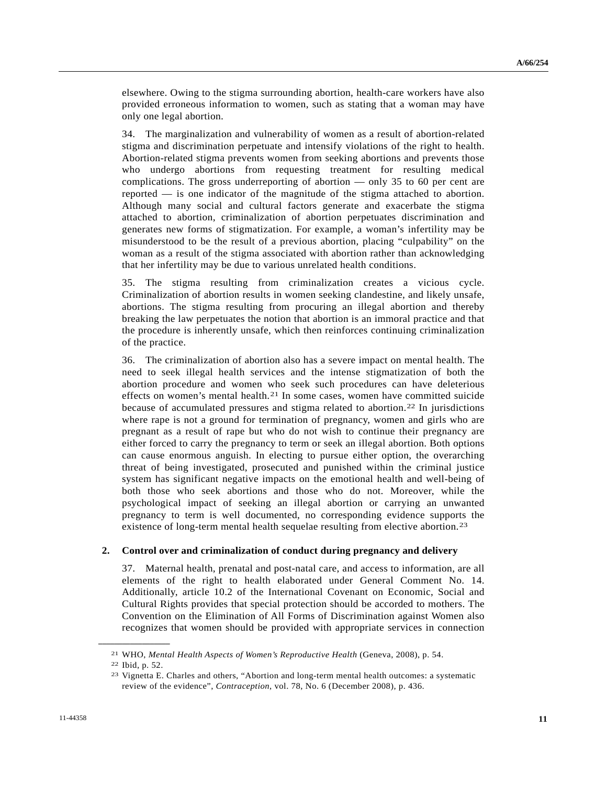elsewhere. Owing to the stigma surrounding abortion, health-care workers have also provided erroneous information to women, such as stating that a woman may have only one legal abortion.

34. The marginalization and vulnerability of women as a result of abortion-related stigma and discrimination perpetuate and intensify violations of the right to health. Abortion-related stigma prevents women from seeking abortions and prevents those who undergo abortions from requesting treatment for resulting medical complications. The gross underreporting of abortion — only 35 to 60 per cent are reported — is one indicator of the magnitude of the stigma attached to abortion. Although many social and cultural factors generate and exacerbate the stigma attached to abortion, criminalization of abortion perpetuates discrimination and generates new forms of stigmatization. For example, a woman's infertility may be misunderstood to be the result of a previous abortion, placing "culpability" on the woman as a result of the stigma associated with abortion rather than acknowledging that her infertility may be due to various unrelated health conditions.

35. The stigma resulting from criminalization creates a vicious cycle. Criminalization of abortion results in women seeking clandestine, and likely unsafe, abortions. The stigma resulting from procuring an illegal abortion and thereby breaking the law perpetuates the notion that abortion is an immoral practice and that the procedure is inherently unsafe, which then reinforces continuing criminalization of the practice.

36. The criminalization of abortion also has a severe impact on mental health. The need to seek illegal health services and the intense stigmatization of both the abortion procedure and women who seek such procedures can have deleterious effects on women's mental health.<sup>[21](#page-10-0)</sup> In some cases, women have committed suicide because of accumulated pressures and stigma related to abortion.[22](#page-10-1) In jurisdictions where rape is not a ground for termination of pregnancy, women and girls who are pregnant as a result of rape but who do not wish to continue their pregnancy are either forced to carry the pregnancy to term or seek an illegal abortion. Both options can cause enormous anguish. In electing to pursue either option, the overarching threat of being investigated, prosecuted and punished within the criminal justice system has significant negative impacts on the emotional health and well-being of both those who seek abortions and those who do not. Moreover, while the psychological impact of seeking an illegal abortion or carrying an unwanted pregnancy to term is well documented, no corresponding evidence supports the existence of long-term mental health sequelae resulting from elective abortion.<sup>[23](#page-10-2)</sup>

#### **2. Control over and criminalization of conduct during pregnancy and delivery**

37. Maternal health, prenatal and post-natal care, and access to information, are all elements of the right to health elaborated under General Comment No. 14. Additionally, article 10.2 of the International Covenant on Economic, Social and Cultural Rights provides that special protection should be accorded to mothers. The Convention on the Elimination of All Forms of Discrimination against Women also recognizes that women should be provided with appropriate services in connection

<span id="page-10-1"></span><span id="page-10-0"></span><sup>21</sup> WHO, *Mental Health Aspects of Women's Reproductive Health* (Geneva, 2008), p. 54. 22 Ibid, p. 52.

<span id="page-10-2"></span><sup>23</sup> Vignetta E. Charles and others, "Abortion and long-term mental health outcomes: a systematic review of the evidence", *Contraception*, vol. 78, No. 6 (December 2008), p. 436.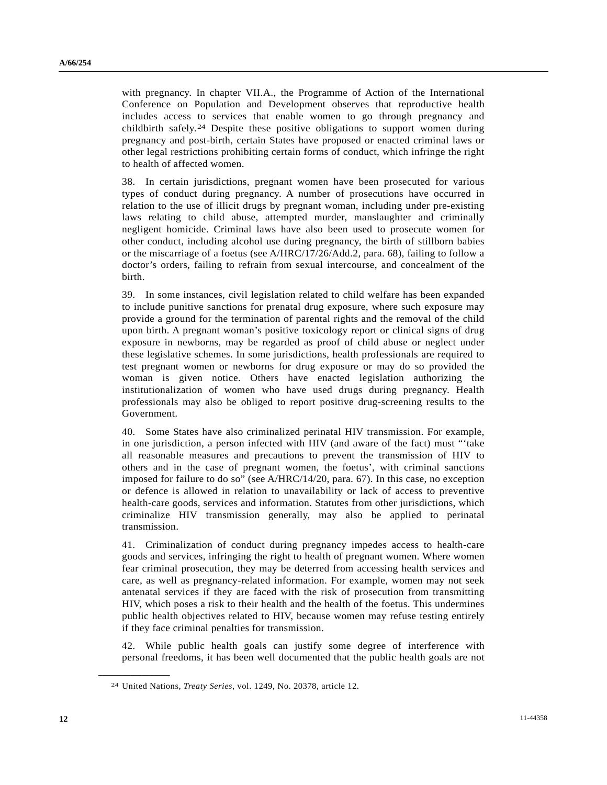with pregnancy. In chapter VII.A., the Programme of Action of the International Conference on Population and Development observes that reproductive health includes access to services that enable women to go through pregnancy and childbirth safely.[2](#page-11-0)4 Despite these positive obligations to support women during pregnancy and post-birth, certain States have proposed or enacted criminal laws or other legal restrictions prohibiting certain forms of conduct, which infringe the right to health of affected women.

38. In certain jurisdictions, pregnant women have been prosecuted for various types of conduct during pregnancy. A number of prosecutions have occurred in relation to the use of illicit drugs by pregnant woman, including under pre-existing laws relating to child abuse, attempted murder, manslaughter and criminally negligent homicide. Criminal laws have also been used to prosecute women for other conduct, including alcohol use during pregnancy, the birth of stillborn babies or the miscarriage of a foetus (see A/HRC/17/26/Add.2, para. 68), failing to follow a doctor's orders, failing to refrain from sexual intercourse, and concealment of the birth.

39. In some instances, civil legislation related to child welfare has been expanded to include punitive sanctions for prenatal drug exposure, where such exposure may provide a ground for the termination of parental rights and the removal of the child upon birth. A pregnant woman's positive toxicology report or clinical signs of drug exposure in newborns, may be regarded as proof of child abuse or neglect under these legislative schemes. In some jurisdictions, health professionals are required to test pregnant women or newborns for drug exposure or may do so provided the woman is given notice. Others have enacted legislation authorizing the institutionalization of women who have used drugs during pregnancy. Health professionals may also be obliged to report positive drug-screening results to the Government.

40. Some States have also criminalized perinatal HIV transmission. For example, in one jurisdiction, a person infected with HIV (and aware of the fact) must "'take all reasonable measures and precautions to prevent the transmission of HIV to others and in the case of pregnant women, the foetus', with criminal sanctions imposed for failure to do so" (see A/HRC/14/20, para. 67). In this case, no exception or defence is allowed in relation to unavailability or lack of access to preventive health-care goods, services and information. Statutes from other jurisdictions, which criminalize HIV transmission generally, may also be applied to perinatal transmission.

41. Criminalization of conduct during pregnancy impedes access to health-care goods and services, infringing the right to health of pregnant women. Where women fear criminal prosecution, they may be deterred from accessing health services and care, as well as pregnancy-related information. For example, women may not seek antenatal services if they are faced with the risk of prosecution from transmitting HIV, which poses a risk to their health and the health of the foetus. This undermines public health objectives related to HIV, because women may refuse testing entirely if they face criminal penalties for transmission.

42. While public health goals can justify some degree of interference with personal freedoms, it has been well documented that the public health goals are not

<span id="page-11-0"></span><sup>24</sup> United Nations, *Treaty Series*, vol. 1249, No. 20378, article 12.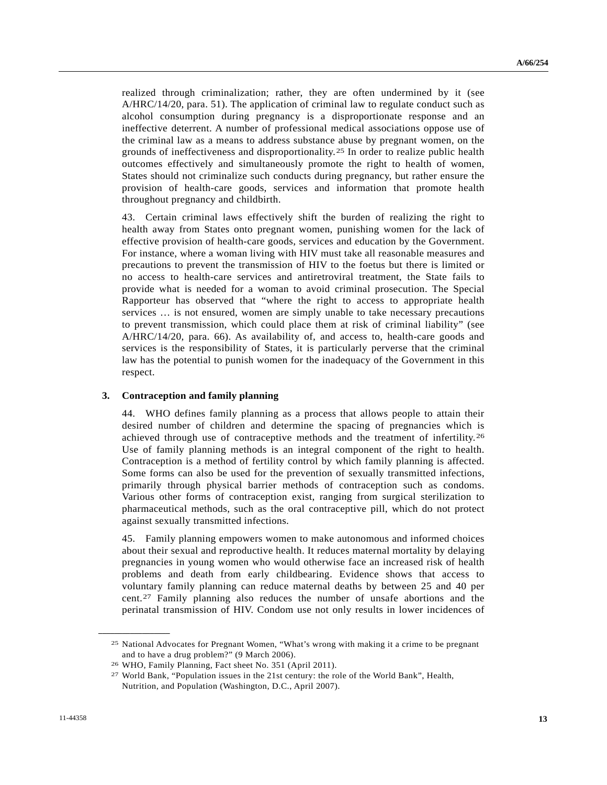<span id="page-12-3"></span>realized through criminalization; rather, they are often undermined by it (see A/HRC/14/20, para. 51). The application of criminal law to regulate conduct such as alcohol consumption during pregnancy is a disproportionate response and an ineffective deterrent. A number of professional medical associations oppose use of the criminal law as a means to address substance abuse by pregnant women, on the grounds of ineffectiveness and disproportionality.[2](#page-12-0)5 In order to realize public health outcomes effectively and simultaneously promote the right to health of women, States should not criminalize such conducts during pregnancy, but rather ensure the provision of health-care goods, services and information that promote health throughout pregnancy and childbirth.

43. Certain criminal laws effectively shift the burden of realizing the right to health away from States onto pregnant women, punishing women for the lack of effective provision of health-care goods, services and education by the Government. For instance, where a woman living with HIV must take all reasonable measures and precautions to prevent the transmission of HIV to the foetus but there is limited or no access to health-care services and antiretroviral treatment, the State fails to provide what is needed for a woman to avoid criminal prosecution. The Special Rapporteur has observed that "where the right to access to appropriate health services … is not ensured, women are simply unable to take necessary precautions to prevent transmission, which could place them at risk of criminal liability" (see A/HRC/14/20, para. 66). As availability of, and access to, health-care goods and services is the responsibility of States, it is particularly perverse that the criminal law has the potential to punish women for the inadequacy of the Government in this respect.

#### **3. Contraception and family planning**

44. WHO defines family planning as a process that allows people to attain their desired number of children and determine the spacing of pregnancies which is achieved through use of contraceptive methods and the treatment of infertility.[26](#page-12-1) Use of family planning methods is an integral component of the right to health. Contraception is a method of fertility control by which family planning is affected. Some forms can also be used for the prevention of sexually transmitted infections, primarily through physical barrier methods of contraception such as condoms. Various other forms of contraception exist, ranging from surgical sterilization to pharmaceutical methods, such as the oral contraceptive pill, which do not protect against sexually transmitted infections.

45. Family planning empowers women to make autonomous and informed choices about their sexual and reproductive health. It reduces maternal mortality by delaying pregnancies in young women who would otherwise face an increased risk of health problems and death from early childbearing. Evidence shows that access to voluntary family planning can reduce maternal deaths by between 25 and 40 per cent.[2](#page-12-2)7 Family planning also reduces the number of unsafe abortions and the perinatal transmission of HIV. Condom use not only results in lower incidences of

<span id="page-12-0"></span><sup>25</sup> National Advocates for Pregnant Women, "What's wrong with making it a crime to be pregnant and to have a drug problem?" (9 March 2006).

<span id="page-12-1"></span><sup>26</sup> WHO, Family Planning, Fact sheet No. 351 (April 2011).

<span id="page-12-2"></span><sup>27</sup> World Bank, "Population issues in the 21st century: the role of the World Bank", Health, Nutrition, and Population (Washington, D.C., April 2007).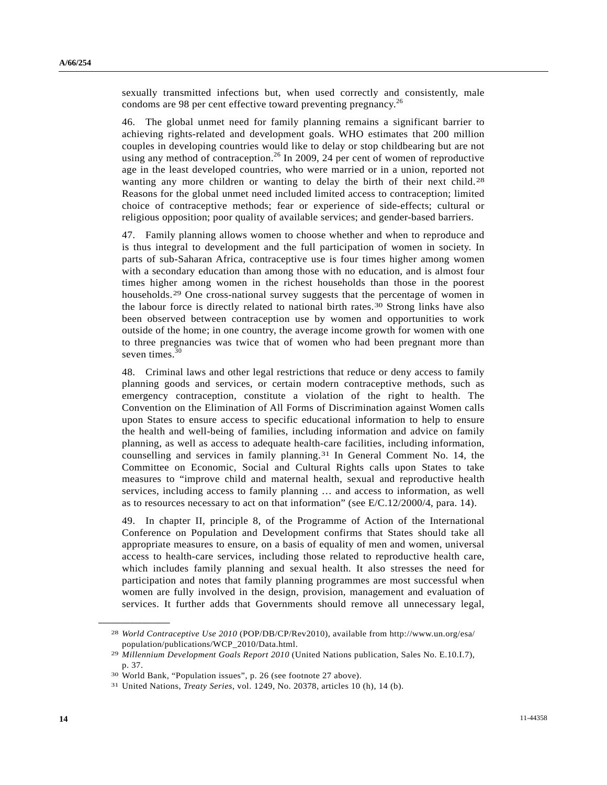<span id="page-13-3"></span>sexually transmitted infections but, when used correctly and consistently, male condoms are 98 per cent effective toward preventing pregnancy.<sup>[26](#page-12-3)</sup>

46. The global unmet need for family planning remains a significant barrier to achieving rights-related and development goals. WHO estimates that 200 million couples in developing countries would like to delay or stop childbearing but are not using any method of contraception.<sup>[26](#page-12-3)</sup> In 2009, 24 per cent of women of reproductive age in the least developed countries, who were married or in a union, reported not wanting any more children or wanting to delay the birth of their next child.<sup>[28](#page-13-0)</sup> Reasons for the global unmet need included limited access to contraception; limited choice of contraceptive methods; fear or experience of side-effects; cultural or religious opposition; poor quality of available services; and gender-based barriers.

47. Family planning allows women to choose whether and when to reproduce and is thus integral to development and the full participation of women in society. In parts of sub-Saharan Africa, contraceptive use is four times higher among women with a secondary education than among those with no education, and is almost four times higher among women in the richest households than those in the poorest households.<sup>[29](#page-13-1)</sup> One cross-national survey suggests that the percentage of women in the labour force is directly related to national birth rates.[3](#page-13-2)0 Strong links have also been observed between contraception use by women and opportunities to work outside of the home; in one country, the average income growth for women with one to three pregnancies was twice that of women who had been pregnant more than seven times. $30$ 

48. Criminal laws and other legal restrictions that reduce or deny access to family planning goods and services, or certain modern contraceptive methods, such as emergency contraception, constitute a violation of the right to health. The Convention on the Elimination of All Forms of Discrimination against Women calls upon States to ensure access to specific educational information to help to ensure the health and well-being of families, including information and advice on family planning, as well as access to adequate health-care facilities, including information, counselling and services in family planning.[3](#page-13-4)1 In General Comment No. 14, the Committee on Economic, Social and Cultural Rights calls upon States to take measures to "improve child and maternal health, sexual and reproductive health services, including access to family planning … and access to information, as well as to resources necessary to act on that information" (see E/C.12/2000/4, para. 14).

49. In chapter II, principle 8, of the Programme of Action of the International Conference on Population and Development confirms that States should take all appropriate measures to ensure, on a basis of equality of men and women, universal access to health-care services, including those related to reproductive health care, which includes family planning and sexual health. It also stresses the need for participation and notes that family planning programmes are most successful when women are fully involved in the design, provision, management and evaluation of services. It further adds that Governments should remove all unnecessary legal,

<span id="page-13-0"></span><sup>28</sup> *World Contraceptive Use 2010* (POP/DB/CP/Rev2010), available from http://www.un.org/esa/ population/publications/WCP\_2010/Data.html.

<span id="page-13-1"></span><sup>29</sup> *Millennium Development Goals Report 2010* (United Nations publication, Sales No. E.10.I.7), p. 37.

<sup>30</sup> World Bank, "Population issues", p. 26 (see footnote 27 above).

<span id="page-13-4"></span><span id="page-13-2"></span><sup>31</sup> United Nations, *Treaty Series*, vol. 1249, No. 20378, articles 10 (h), 14 (b).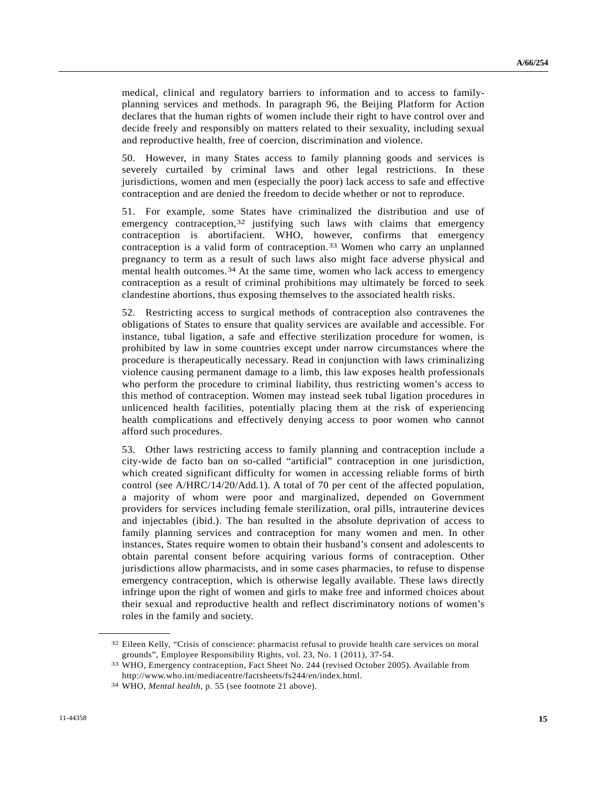medical, clinical and regulatory barriers to information and to access to familyplanning services and methods. In paragraph 96, the Beijing Platform for Action declares that the human rights of women include their right to have control over and decide freely and responsibly on matters related to their sexuality, including sexual and reproductive health, free of coercion, discrimination and violence.

50. However, in many States access to family planning goods and services is severely curtailed by criminal laws and other legal restrictions. In these jurisdictions, women and men (especially the poor) lack access to safe and effective contraception and are denied the freedom to decide whether or not to reproduce.

51. For example, some States have criminalized the distribution and use of emergency contraception,<sup>[3](#page-14-0)2</sup> justifying such laws with claims that emergency contraception is abortifacient. WHO, however, confirms that emergency contraception is a valid form of contraception.[3](#page-14-1)3 Women who carry an unplanned pregnancy to term as a result of such laws also might face adverse physical and mental health outcomes.[34](#page-14-2) At the same time, women who lack access to emergency contraception as a result of criminal prohibitions may ultimately be forced to seek clandestine abortions, thus exposing themselves to the associated health risks.

52. Restricting access to surgical methods of contraception also contravenes the obligations of States to ensure that quality services are available and accessible. For instance, tubal ligation, a safe and effective sterilization procedure for women, is prohibited by law in some countries except under narrow circumstances where the procedure is therapeutically necessary. Read in conjunction with laws criminalizing violence causing permanent damage to a limb, this law exposes health professionals who perform the procedure to criminal liability, thus restricting women's access to this method of contraception. Women may instead seek tubal ligation procedures in unlicenced health facilities, potentially placing them at the risk of experiencing health complications and effectively denying access to poor women who cannot afford such procedures.

53. Other laws restricting access to family planning and contraception include a city-wide de facto ban on so-called "artificial" contraception in one jurisdiction, which created significant difficulty for women in accessing reliable forms of birth control (see A/HRC/14/20/Add.1). A total of 70 per cent of the affected population, a majority of whom were poor and marginalized, depended on Government providers for services including female sterilization, oral pills, intrauterine devices and injectables (ibid.). The ban resulted in the absolute deprivation of access to family planning services and contraception for many women and men. In other instances, States require women to obtain their husband's consent and adolescents to obtain parental consent before acquiring various forms of contraception. Other jurisdictions allow pharmacists, and in some cases pharmacies, to refuse to dispense emergency contraception, which is otherwise legally available. These laws directly infringe upon the right of women and girls to make free and informed choices about their sexual and reproductive health and reflect discriminatory notions of women's roles in the family and society.

<span id="page-14-0"></span><sup>32</sup> Eileen Kelly, "Crisis of conscience: pharmacist refusal to provide health care services on moral grounds", Employee Responsibility Rights, vol. 23, No. 1 (2011), 37-54.

<span id="page-14-1"></span><sup>33</sup> WHO, Emergency contraception, Fact Sheet No. 244 (revised October 2005). Available from http://www.who.int/mediacentre/factsheets/fs244/en/index.html.

<span id="page-14-2"></span><sup>34</sup> WHO, *Mental health*, p. 55 (see footnote 21 above).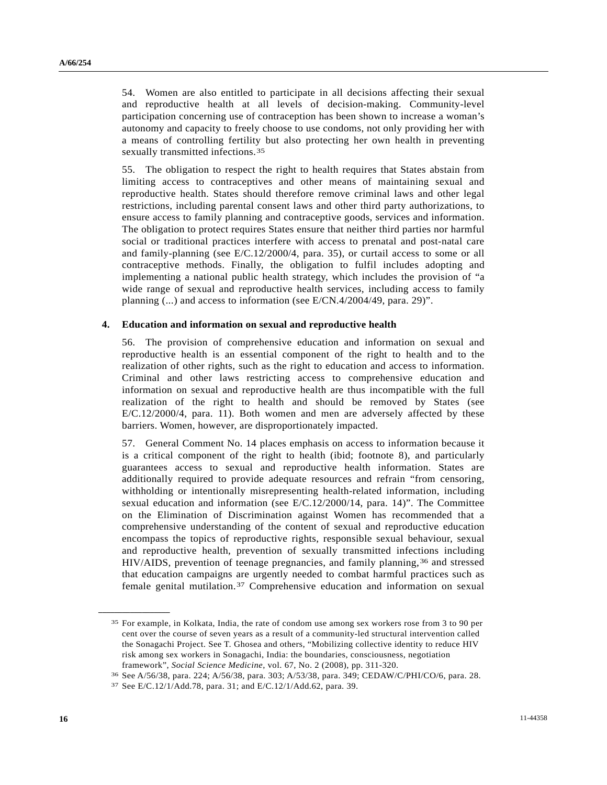54. Women are also entitled to participate in all decisions affecting their sexual and reproductive health at all levels of decision-making. Community-level participation concerning use of contraception has been shown to increase a woman's autonomy and capacity to freely choose to use condoms, not only providing her with a means of controlling fertility but also protecting her own health in preventing sexually transmitted infections.<sup>[3](#page-15-0)5</sup>

55. The obligation to respect the right to health requires that States abstain from limiting access to contraceptives and other means of maintaining sexual and reproductive health. States should therefore remove criminal laws and other legal restrictions, including parental consent laws and other third party authorizations, to ensure access to family planning and contraceptive goods, services and information. The obligation to protect requires States ensure that neither third parties nor harmful social or traditional practices interfere with access to prenatal and post-natal care and family-planning (see E/C.12/2000/4, para. 35), or curtail access to some or all contraceptive methods. Finally, the obligation to fulfil includes adopting and implementing a national public health strategy, which includes the provision of "a wide range of sexual and reproductive health services, including access to family planning (...) and access to information (see E/CN.4/2004/49, para. 29)".

#### **4. Education and information on sexual and reproductive health**

56. The provision of comprehensive education and information on sexual and reproductive health is an essential component of the right to health and to the realization of other rights, such as the right to education and access to information. Criminal and other laws restricting access to comprehensive education and information on sexual and reproductive health are thus incompatible with the full realization of the right to health and should be removed by States (see E/C.12/2000/4, para. 11). Both women and men are adversely affected by these barriers. Women, however, are disproportionately impacted.

57. General Comment No. 14 places emphasis on access to information because it is a critical component of the right to health (ibid; footnote 8), and particularly guarantees access to sexual and reproductive health information. States are additionally required to provide adequate resources and refrain "from censoring, withholding or intentionally misrepresenting health-related information, including sexual education and information (see E/C.12/2000/14, para. 14)". The Committee on the Elimination of Discrimination against Women has recommended that a comprehensive understanding of the content of sexual and reproductive education encompass the topics of reproductive rights, responsible sexual behaviour, sexual and reproductive health, prevention of sexually transmitted infections including HIV/AIDS, prevention of teenage pregnancies, and family planning,[36](#page-15-1) and stressed that education campaigns are urgently needed to combat harmful practices such as female genital mutilation.[37](#page-15-2) Comprehensive education and information on sexual

<span id="page-15-0"></span><sup>35</sup> For example, in Kolkata, India, the rate of condom use among sex workers rose from 3 to 90 per cent over the course of seven years as a result of a community-led structural intervention called the Sonagachi Project. See T. Ghosea and others, "Mobilizing collective identity to reduce HIV risk among sex workers in Sonagachi, India: the boundaries, consciousness, negotiation

framework", *Social Science Medicine*, vol. 67, No. 2 (2008), pp. 311-320.<br><sup>36</sup> See A/56/38, para. 224; A/56/38, para. 303; A/53/38, para. 349; CEDAW/C/PHI/CO/6, para. 28.<br><sup>37</sup> See E/C.12/1/Add.78, para. 31; and E/C.12/1/A

<span id="page-15-2"></span><span id="page-15-1"></span>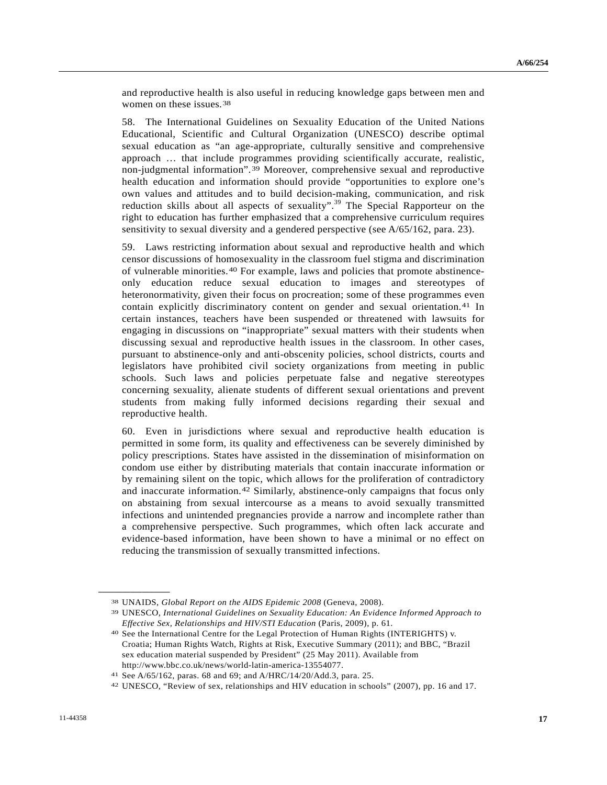<span id="page-16-2"></span>and reproductive health is also useful in reducing knowledge gaps between men and women on these issues.[38](#page-16-0)

58. The International Guidelines on Sexuality Education of the United Nations Educational, Scientific and Cultural Organization (UNESCO) describe optimal sexual education as "an age-appropriate, culturally sensitive and comprehensive approach … that include programmes providing scientifically accurate, realistic, non-judgmental information".[3](#page-16-1)9 Moreover, comprehensive sexual and reproductive health education and information should provide "opportunities to explore one's own values and attitudes and to build decision-making, communication, and risk reduction skills about all aspects of sexuality".<sup>[39](#page-16-2)</sup> The Special Rapporteur on the right to education has further emphasized that a comprehensive curriculum requires sensitivity to sexual diversity and a gendered perspective (see A/65/162, para. 23).

59. Laws restricting information about sexual and reproductive health and which censor discussions of homosexuality in the classroom fuel stigma and discrimination of vulnerable minorities.[4](#page-16-3)0 For example, laws and policies that promote abstinenceonly education reduce sexual education to images and stereotypes of heteronormativity, given their focus on procreation; some of these programmes even contain explicitly discriminatory content on gender and sexual orientation.[4](#page-16-4)1 In certain instances, teachers have been suspended or threatened with lawsuits for engaging in discussions on "inappropriate" sexual matters with their students when discussing sexual and reproductive health issues in the classroom. In other cases, pursuant to abstinence-only and anti-obscenity policies, school districts, courts and legislators have prohibited civil society organizations from meeting in public schools. Such laws and policies perpetuate false and negative stereotypes concerning sexuality, alienate students of different sexual orientations and prevent students from making fully informed decisions regarding their sexual and reproductive health.

60. Even in jurisdictions where sexual and reproductive health education is permitted in some form, its quality and effectiveness can be severely diminished by policy prescriptions. States have assisted in the dissemination of misinformation on condom use either by distributing materials that contain inaccurate information or by remaining silent on the topic, which allows for the proliferation of contradictory and inaccurate information.[4](#page-16-5)2 Similarly, abstinence-only campaigns that focus only on abstaining from sexual intercourse as a means to avoid sexually transmitted infections and unintended pregnancies provide a narrow and incomplete rather than a comprehensive perspective. Such programmes, which often lack accurate and evidence-based information, have been shown to have a minimal or no effect on reducing the transmission of sexually transmitted infections.

<span id="page-16-1"></span><span id="page-16-0"></span><sup>38</sup> UNAIDS, *Global Report on the AIDS Epidemic 2008* (Geneva, 2008). 39 UNESCO, *International Guidelines on Sexuality Education: An Evidence Informed Approach to Effective Sex, Relationships and HIV/STI Education* (Paris, 2009), p. 61.<br><sup>40</sup> See the International Centre for the Legal Protection of Human Rights (INTERIGHTS) v.

<span id="page-16-3"></span>Croatia; Human Rights Watch, Rights at Risk, Executive Summary (2011); and BBC, "Brazil sex education material suspended by President" (25 May 2011). Available from http://www.bbc.co.uk/news/world-latin-america-13554077.

<span id="page-16-5"></span><span id="page-16-4"></span><sup>41</sup> See A/65/162, paras. 68 and 69; and A/HRC/14/20/Add.3, para. 25. 42 UNESCO, "Review of sex, relationships and HIV education in schools" (2007), pp. 16 and 17.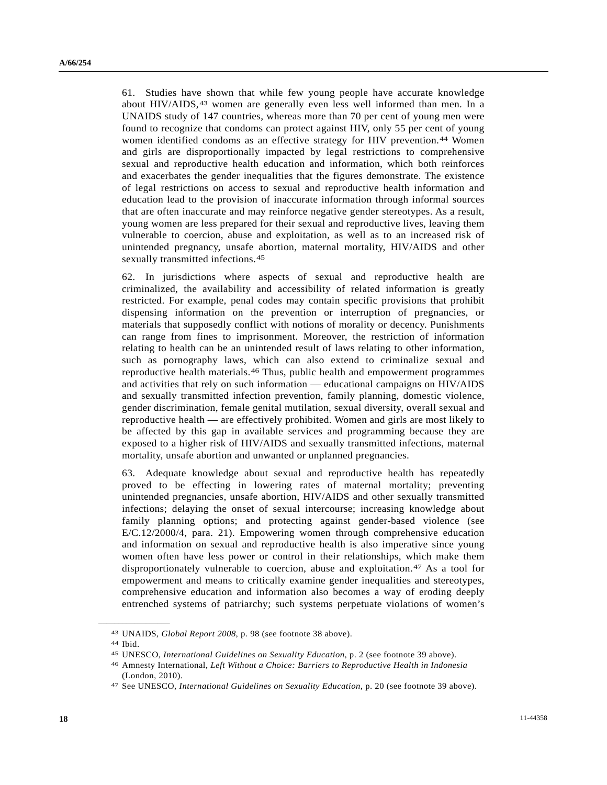61. Studies have shown that while few young people have accurate knowledge about HIV/AIDS,[4](#page-17-0)3 women are generally even less well informed than men. In a UNAIDS study of 147 countries, whereas more than 70 per cent of young men were found to recognize that condoms can protect against HIV, only 55 per cent of young women identified condoms as an effective strategy for HIV prevention.[44](#page-17-1) Women and girls are disproportionally impacted by legal restrictions to comprehensive sexual and reproductive health education and information, which both reinforces and exacerbates the gender inequalities that the figures demonstrate. The existence of legal restrictions on access to sexual and reproductive health information and education lead to the provision of inaccurate information through informal sources that are often inaccurate and may reinforce negative gender stereotypes. As a result, young women are less prepared for their sexual and reproductive lives, leaving them vulnerable to coercion, abuse and exploitation, as well as to an increased risk of unintended pregnancy, unsafe abortion, maternal mortality, HIV/AIDS and other sexually transmitted infections.<sup>[4](#page-17-2)5</sup>

62. In jurisdictions where aspects of sexual and reproductive health are criminalized, the availability and accessibility of related information is greatly restricted. For example, penal codes may contain specific provisions that prohibit dispensing information on the prevention or interruption of pregnancies, or materials that supposedly conflict with notions of morality or decency. Punishments can range from fines to imprisonment. Moreover, the restriction of information relating to health can be an unintended result of laws relating to other information, such as pornography laws, which can also extend to criminalize sexual and reproductive health materials.[46](#page-17-3) Thus, public health and empowerment programmes and activities that rely on such information — educational campaigns on HIV/AIDS and sexually transmitted infection prevention, family planning, domestic violence, gender discrimination, female genital mutilation, sexual diversity, overall sexual and reproductive health — are effectively prohibited. Women and girls are most likely to be affected by this gap in available services and programming because they are exposed to a higher risk of HIV/AIDS and sexually transmitted infections, maternal mortality, unsafe abortion and unwanted or unplanned pregnancies.

63. Adequate knowledge about sexual and reproductive health has repeatedly proved to be effecting in lowering rates of maternal mortality; preventing unintended pregnancies, unsafe abortion, HIV/AIDS and other sexually transmitted infections; delaying the onset of sexual intercourse; increasing knowledge about family planning options; and protecting against gender-based violence (see E/C.12/2000/4, para. 21). Empowering women through comprehensive education and information on sexual and reproductive health is also imperative since young women often have less power or control in their relationships, which make them disproportionately vulnerable to coercion, abuse and exploitation.[4](#page-17-4)7 As a tool for empowerment and means to critically examine gender inequalities and stereotypes, comprehensive education and information also becomes a way of eroding deeply entrenched systems of patriarchy; such systems perpetuate violations of women's

<span id="page-17-1"></span><span id="page-17-0"></span><sup>43</sup> UNAIDS, *Global Report 2008*, p. 98 (see footnote 38 above). 44 Ibid.

<span id="page-17-2"></span><sup>45</sup> UNESCO, *International Guidelines on Sexuality Education*, p. 2 (see footnote 39 above). 46 Amnesty International, *Left Without a Choice: Barriers to Reproductive Health in Indonesia*

<span id="page-17-3"></span><sup>(</sup>London, 2010).

<span id="page-17-4"></span><sup>47</sup> See UNESCO, *International Guidelines on Sexuality Education*, p. 20 (see footnote 39 above).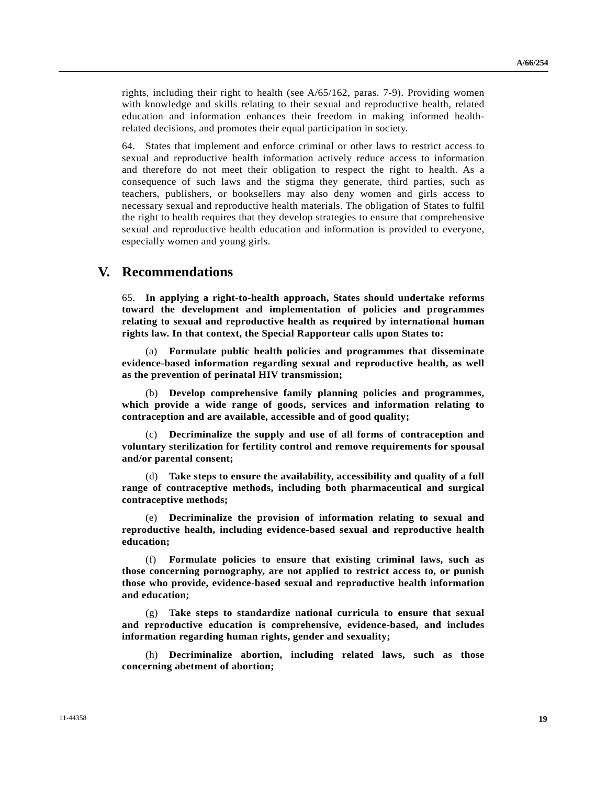rights, including their right to health (see A/65/162, paras. 7-9). Providing women with knowledge and skills relating to their sexual and reproductive health, related education and information enhances their freedom in making informed healthrelated decisions, and promotes their equal participation in society.

64. States that implement and enforce criminal or other laws to restrict access to sexual and reproductive health information actively reduce access to information and therefore do not meet their obligation to respect the right to health. As a consequence of such laws and the stigma they generate, third parties, such as teachers, publishers, or booksellers may also deny women and girls access to necessary sexual and reproductive health materials. The obligation of States to fulfil the right to health requires that they develop strategies to ensure that comprehensive sexual and reproductive health education and information is provided to everyone, especially women and young girls.

### **V. Recommendations**

65. **In applying a right-to-health approach, States should undertake reforms toward the development and implementation of policies and programmes relating to sexual and reproductive health as required by international human rights law. In that context, the Special Rapporteur calls upon States to:**

 (a) **Formulate public health policies and programmes that disseminate evidence-based information regarding sexual and reproductive health, as well as the prevention of perinatal HIV transmission;**

 (b) **Develop comprehensive family planning policies and programmes, which provide a wide range of goods, services and information relating to contraception and are available, accessible and of good quality;** 

 (c) **Decriminalize the supply and use of all forms of contraception and voluntary sterilization for fertility control and remove requirements for spousal and/or parental consent;** 

 (d) **Take steps to ensure the availability, accessibility and quality of a full range of contraceptive methods, including both pharmaceutical and surgical contraceptive methods;**

 (e) **Decriminalize the provision of information relating to sexual and reproductive health, including evidence-based sexual and reproductive health education;** 

 (f) **Formulate policies to ensure that existing criminal laws, such as those concerning pornography, are not applied to restrict access to, or punish those who provide, evidence-based sexual and reproductive health information and education;** 

 (g) **Take steps to standardize national curricula to ensure that sexual and reproductive education is comprehensive, evidence-based, and includes information regarding human rights, gender and sexuality;** 

 (h) **Decriminalize abortion, including related laws, such as those concerning abetment of abortion;**